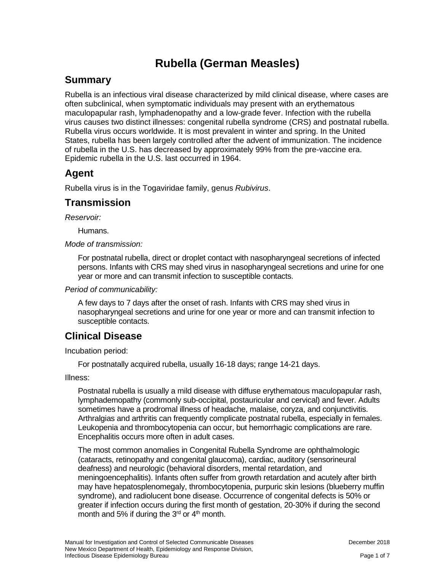# **Rubella (German Measles)**

### **Summary**

Rubella is an infectious viral disease characterized by mild clinical disease, where cases are often subclinical, when symptomatic individuals may present with an erythematous maculopapular rash, lymphadenopathy and a low-grade fever. Infection with the rubella virus causes two distinct illnesses: congenital rubella syndrome (CRS) and postnatal rubella. Rubella virus occurs worldwide. It is most prevalent in winter and spring. In the United States, rubella has been largely controlled after the advent of immunization. The incidence of rubella in the U.S. has decreased by approximately 99% from the pre-vaccine era. Epidemic rubella in the U.S. last occurred in 1964.

### **Agent**

Rubella virus is in the Togaviridae family, genus *Rubivirus*.

### **Transmission**

*Reservoir:* 

Humans.

*Mode of transmission:* 

For postnatal rubella, direct or droplet contact with nasopharyngeal secretions of infected persons. Infants with CRS may shed virus in nasopharyngeal secretions and urine for one year or more and can transmit infection to susceptible contacts.

#### *Period of communicability:*

A few days to 7 days after the onset of rash. Infants with CRS may shed virus in nasopharyngeal secretions and urine for one year or more and can transmit infection to susceptible contacts.

# **Clinical Disease**

Incubation period:

For postnatally acquired rubella, usually 16-18 days; range 14-21 days.

Illness:

Postnatal rubella is usually a mild disease with diffuse erythematous maculopapular rash, lymphademopathy (commonly sub-occipital, postauricular and cervical) and fever. Adults sometimes have a prodromal illness of headache, malaise, coryza, and conjunctivitis. Arthralgias and arthritis can frequently complicate postnatal rubella, especially in females. Leukopenia and thrombocytopenia can occur, but hemorrhagic complications are rare. Encephalitis occurs more often in adult cases.

The most common anomalies in Congenital Rubella Syndrome are ophthalmologic (cataracts, retinopathy and congenital glaucoma), cardiac, auditory (sensorineural deafness) and neurologic (behavioral disorders, mental retardation, and meningoencephalitis). Infants often suffer from growth retardation and acutely after birth may have hepatosplenomegaly, thrombocytopenia, purpuric skin lesions (blueberry muffin syndrome), and radiolucent bone disease. Occurrence of congenital defects is 50% or greater if infection occurs during the first month of gestation, 20-30% if during the second month and 5% if during the  $3<sup>rd</sup>$  or  $4<sup>th</sup>$  month.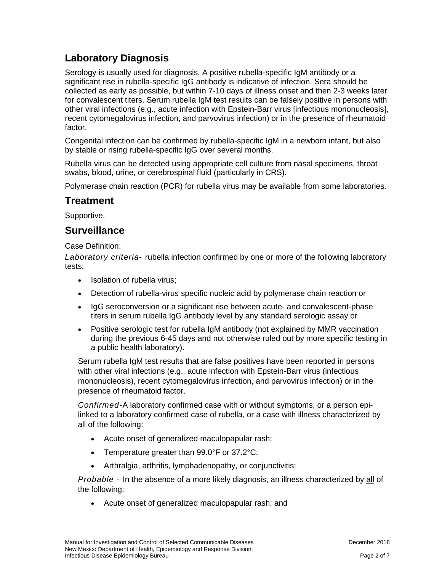# **Laboratory Diagnosis**

Serology is usually used for diagnosis. A positive rubella-specific IgM antibody or a significant rise in rubella-specific IgG antibody is indicative of infection. Sera should be collected as early as possible, but within 7-10 days of illness onset and then 2-3 weeks later for convalescent titers. Serum rubella IgM test results can be falsely positive in persons with other viral infections (e.g., acute infection with Epstein-Barr virus [infectious mononucleosis], recent cytomegalovirus infection, and parvovirus infection) or in the presence of rheumatoid factor.

Congenital infection can be confirmed by rubella-specific IgM in a newborn infant, but also by stable or rising rubella-specific IgG over several months.

Rubella virus can be detected using appropriate cell culture from nasal specimens, throat swabs, blood, urine, or cerebrospinal fluid (particularly in CRS).

Polymerase chain reaction (PCR) for rubella virus may be available from some laboratories.

#### **Treatment**

Supportive.

### **Surveillance**

Case Definition:

*Laboratory criteria*- rubella infection confirmed by one or more of the following laboratory tests:

- Isolation of rubella virus:
- Detection of rubella-virus specific nucleic acid by polymerase chain reaction or
- IgG seroconversion or a significant rise between acute- and convalescent-phase titers in serum rubella IgG antibody level by any standard serologic assay or
- Positive serologic test for rubella IgM antibody (not explained by MMR vaccination during the previous 6-45 days and not otherwise ruled out by more specific testing in a public health laboratory).

Serum rubella IgM test results that are false positives have been reported in persons with other viral infections (e.g., acute infection with Epstein-Barr virus (infectious mononucleosis), recent cytomegalovirus infection, and parvovirus infection) or in the presence of rheumatoid factor.

*Confirmed-*A laboratory confirmed case with or without symptoms, or a person epilinked to a laboratory confirmed case of rubella, or a case with illness characterized by all of the following:

- Acute onset of generalized maculopapular rash;
- Temperature greater than 99.0°F or 37.2°C;
- Arthralgia, arthritis, lymphadenopathy, or conjunctivitis;

*Probable* - In the absence of a more likely diagnosis, an illness characterized by all of the following:

• Acute onset of generalized maculopapular rash; and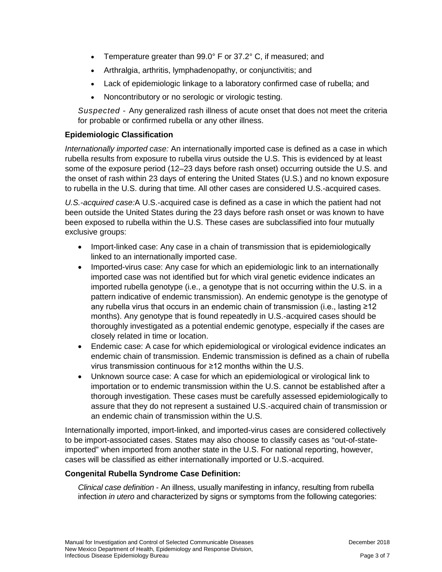- Temperature greater than 99.0° F or 37.2° C, if measured; and
- Arthralgia, arthritis, lymphadenopathy, or conjunctivitis; and
- Lack of epidemiologic linkage to a laboratory confirmed case of rubella; and
- Noncontributory or no serologic or virologic testing.

*Suspected* - Any generalized rash illness of acute onset that does not meet the criteria for probable or confirmed rubella or any other illness.

#### **Epidemiologic Classification**

*Internationally imported case:* An internationally imported case is defined as a case in which rubella results from exposure to rubella virus outside the U.S. This is evidenced by at least some of the exposure period (12–23 days before rash onset) occurring outside the U.S. and the onset of rash within 23 days of entering the United States (U.S.) and no known exposure to rubella in the U.S. during that time. All other cases are considered U.S.-acquired cases.

*U.S.-acquired case:*A U.S.-acquired case is defined as a case in which the patient had not been outside the United States during the 23 days before rash onset or was known to have been exposed to rubella within the U.S. These cases are subclassified into four mutually exclusive groups:

- Import-linked case: Any case in a chain of transmission that is epidemiologically linked to an internationally imported case.
- Imported-virus case: Any case for which an epidemiologic link to an internationally imported case was not identified but for which viral genetic evidence indicates an imported rubella genotype (i.e., a genotype that is not occurring within the U.S. in a pattern indicative of endemic transmission). An endemic genotype is the genotype of any rubella virus that occurs in an endemic chain of transmission (i.e., lasting ≥12 months). Any genotype that is found repeatedly in U.S.-acquired cases should be thoroughly investigated as a potential endemic genotype, especially if the cases are closely related in time or location.
- Endemic case: A case for which epidemiological or virological evidence indicates an endemic chain of transmission. Endemic transmission is defined as a chain of rubella virus transmission continuous for ≥12 months within the U.S.
- Unknown source case: A case for which an epidemiological or virological link to importation or to endemic transmission within the U.S. cannot be established after a thorough investigation. These cases must be carefully assessed epidemiologically to assure that they do not represent a sustained U.S.-acquired chain of transmission or an endemic chain of transmission within the U.S.

Internationally imported, import-linked, and imported-virus cases are considered collectively to be import-associated cases. States may also choose to classify cases as "out-of-stateimported" when imported from another state in the U.S. For national reporting, however, cases will be classified as either internationally imported or U.S.-acquired.

#### **Congenital Rubella Syndrome Case Definition:**

*Clinical case definition* - An illness, usually manifesting in infancy, resulting from rubella infection *in utero* and characterized by signs or symptoms from the following categories: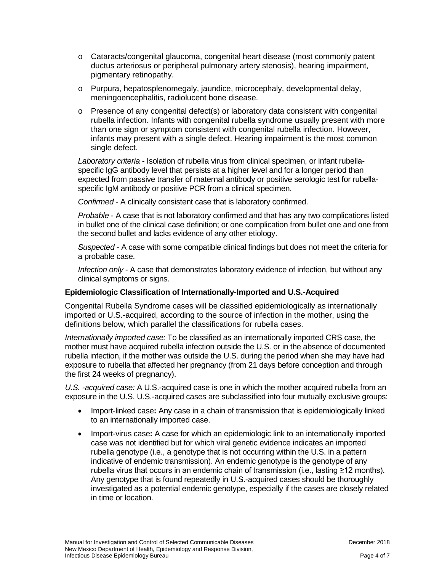- o Cataracts/congenital glaucoma, congenital heart disease (most commonly patent ductus arteriosus or peripheral pulmonary artery stenosis), hearing impairment, pigmentary retinopathy.
- o Purpura, hepatosplenomegaly, jaundice, microcephaly, developmental delay, meningoencephalitis, radiolucent bone disease.
- o Presence of any congenital defect(s) or laboratory data consistent with congenital rubella infection. Infants with congenital rubella syndrome usually present with more than one sign or symptom consistent with congenital rubella infection. However, infants may present with a single defect. Hearing impairment is the most common single defect.

*Laboratory criteria* - Isolation of rubella virus from clinical specimen, or infant rubellaspecific IgG antibody level that persists at a higher level and for a longer period than expected from passive transfer of maternal antibody or positive serologic test for rubellaspecific IgM antibody or positive PCR from a clinical specimen.

*Confirmed* - A clinically consistent case that is laboratory confirmed.

*Probable* - A case that is not laboratory confirmed and that has any two complications listed in bullet one of the clinical case definition; or one complication from bullet one and one from the second bullet and lacks evidence of any other etiology.

*Suspected* - A case with some compatible clinical findings but does not meet the criteria for a probable case.

*Infection only* - A case that demonstrates laboratory evidence of infection, but without any clinical symptoms or signs.

#### **Epidemiologic Classification of Internationally-Imported and U.S.-Acquired**

Congenital Rubella Syndrome cases will be classified epidemiologically as internationally imported or U.S.-acquired, according to the source of infection in the mother, using the definitions below, which parallel the classifications for rubella cases.

*Internationally imported case:* To be classified as an internationally imported CRS case, the mother must have acquired rubella infection outside the U.S. or in the absence of documented rubella infection, if the mother was outside the U.S. during the period when she may have had exposure to rubella that affected her pregnancy (from 21 days before conception and through the first 24 weeks of pregnancy).

*U.S. -acquired case:* A U.S.-acquired case is one in which the mother acquired rubella from an exposure in the U.S. U.S.-acquired cases are subclassified into four mutually exclusive groups:

- Import-linked case**:** Any case in a chain of transmission that is epidemiologically linked to an internationally imported case.
- Import-virus case**:** A case for which an epidemiologic link to an internationally imported case was not identified but for which viral genetic evidence indicates an imported rubella genotype (i.e., a genotype that is not occurring within the U.S. in a pattern indicative of endemic transmission). An endemic genotype is the genotype of any rubella virus that occurs in an endemic chain of transmission (i.e., lasting ≥12 months). Any genotype that is found repeatedly in U.S.-acquired cases should be thoroughly investigated as a potential endemic genotype, especially if the cases are closely related in time or location.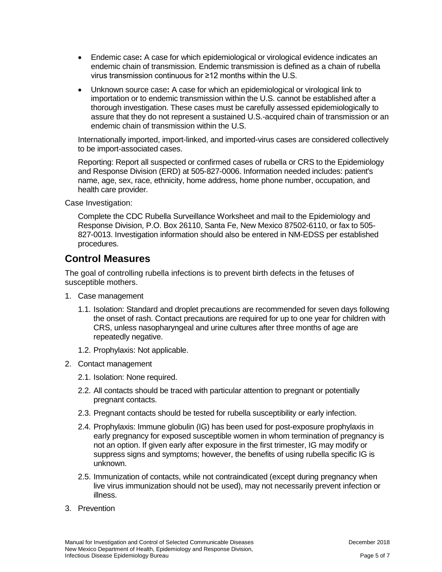- Endemic case**:** A case for which epidemiological or virological evidence indicates an endemic chain of transmission. Endemic transmission is defined as a chain of rubella virus transmission continuous for ≥12 months within the U.S.
- Unknown source case**:** A case for which an epidemiological or virological link to importation or to endemic transmission within the U.S. cannot be established after a thorough investigation. These cases must be carefully assessed epidemiologically to assure that they do not represent a sustained U.S.-acquired chain of transmission or an endemic chain of transmission within the U.S.

Internationally imported, import-linked, and imported-virus cases are considered collectively to be import-associated cases.

Reporting: Report all suspected or confirmed cases of rubella or CRS to the Epidemiology and Response Division (ERD) at 505-827-0006. Information needed includes: patient's name, age, sex, race, ethnicity, home address, home phone number, occupation, and health care provider.

Case Investigation:

Complete the CDC Rubella Surveillance Worksheet and mail to the Epidemiology and Response Division, P.O. Box 26110, Santa Fe, New Mexico 87502-6110, or fax to 505- 827-0013. Investigation information should also be entered in NM-EDSS per established procedures.

#### **Control Measures**

The goal of controlling rubella infections is to prevent birth defects in the fetuses of susceptible mothers.

- 1. Case management
	- 1.1. Isolation: Standard and droplet precautions are recommended for seven days following the onset of rash. Contact precautions are required for up to one year for children with CRS, unless nasopharyngeal and urine cultures after three months of age are repeatedly negative.
	- 1.2. Prophylaxis: Not applicable.
- 2. Contact management
	- 2.1. Isolation: None required.
	- 2.2. All contacts should be traced with particular attention to pregnant or potentially pregnant contacts.
	- 2.3. Pregnant contacts should be tested for rubella susceptibility or early infection.
	- 2.4. Prophylaxis: Immune globulin (IG) has been used for post-exposure prophylaxis in early pregnancy for exposed susceptible women in whom termination of pregnancy is not an option. If given early after exposure in the first trimester, IG may modify or suppress signs and symptoms; however, the benefits of using rubella specific IG is unknown.
	- 2.5. Immunization of contacts, while not contraindicated (except during pregnancy when live virus immunization should not be used), may not necessarily prevent infection or illness.
- 3. Prevention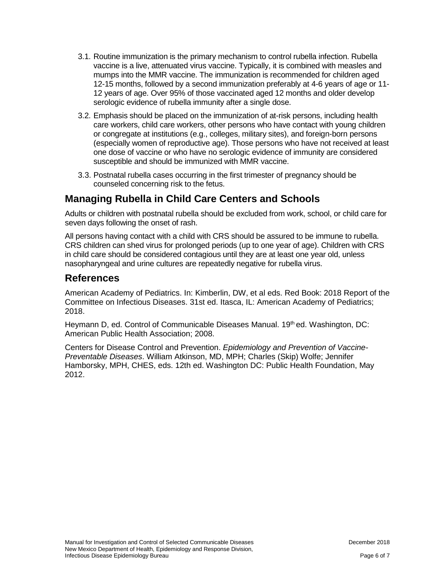- 3.1. Routine immunization is the primary mechanism to control rubella infection. Rubella vaccine is a live, attenuated virus vaccine. Typically, it is combined with measles and mumps into the MMR vaccine. The immunization is recommended for children aged 12-15 months, followed by a second immunization preferably at 4-6 years of age or 11- 12 years of age. Over 95% of those vaccinated aged 12 months and older develop serologic evidence of rubella immunity after a single dose.
- 3.2. Emphasis should be placed on the immunization of at-risk persons, including health care workers, child care workers, other persons who have contact with young children or congregate at institutions (e.g., colleges, military sites), and foreign-born persons (especially women of reproductive age). Those persons who have not received at least one dose of vaccine or who have no serologic evidence of immunity are considered susceptible and should be immunized with MMR vaccine.
- 3.3. Postnatal rubella cases occurring in the first trimester of pregnancy should be counseled concerning risk to the fetus.

# **Managing Rubella in Child Care Centers and Schools**

Adults or children with postnatal rubella should be excluded from work, school, or child care for seven days following the onset of rash.

All persons having contact with a child with CRS should be assured to be immune to rubella. CRS children can shed virus for prolonged periods (up to one year of age). Children with CRS in child care should be considered contagious until they are at least one year old, unless nasopharyngeal and urine cultures are repeatedly negative for rubella virus.

#### **References**

American Academy of Pediatrics. In: Kimberlin, DW, et al eds. Red Book: 2018 Report of the Committee on Infectious Diseases. 31st ed. Itasca, IL: American Academy of Pediatrics; 2018.

Heymann D, ed. Control of Communicable Diseases Manual. 19th ed. Washington, DC: American Public Health Association; 2008.

Centers for Disease Control and Prevention. *Epidemiology and Prevention of Vaccine-Preventable Diseases*. William Atkinson, MD, MPH; Charles (Skip) Wolfe; Jennifer Hamborsky, MPH, CHES, eds. 12th ed. Washington DC: Public Health Foundation, May 2012.